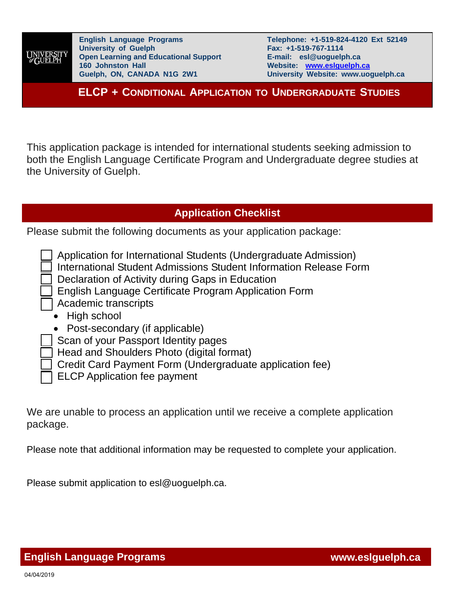UNIVERSIT

**University of Guelph Fax: +1-519-767-1114 Open Learning and Educational Support E-mail: esl@uoguelph.ca**<br>160 Johnston Hall **Electional Support** Website: www.eslguelph. **160 Johnston Hall Website: Website: Website: Website: Website: Website: WEDSITE: CANADA N1G 2W1** 

**English Language Programs Telephone: +1-519-824-4120 Ext 52149 University Website: www.uoguelph.ca** 

## **ELCP + CONDITIONAL APPLICATION TO UNDERGRADUATE STUDIES**

This application package is intended for international students seeking admission to both the English Language Certificate Program and Undergraduate degree studies at the University of Guelph.

# **Application Checklist**

Please submit the following documents as your application package:

| Application for International Students (Undergraduate Admission)<br>International Student Admissions Student Information Release Form<br>Declaration of Activity during Gaps in Education<br><b>English Language Certificate Program Application Form</b> |
|-----------------------------------------------------------------------------------------------------------------------------------------------------------------------------------------------------------------------------------------------------------|
| Academic transcripts                                                                                                                                                                                                                                      |
| • High school                                                                                                                                                                                                                                             |
| • Post-secondary (if applicable)                                                                                                                                                                                                                          |
| Scan of your Passport Identity pages                                                                                                                                                                                                                      |
| Head and Shoulders Photo (digital format)                                                                                                                                                                                                                 |
| Credit Card Payment Form (Undergraduate application fee)                                                                                                                                                                                                  |
| <b>ELCP Application fee payment</b>                                                                                                                                                                                                                       |

We are unable to process an application until we receive a complete application package.

Please note that additional information may be requested to complete your application.

Please submit application to esl@uoguelph.ca.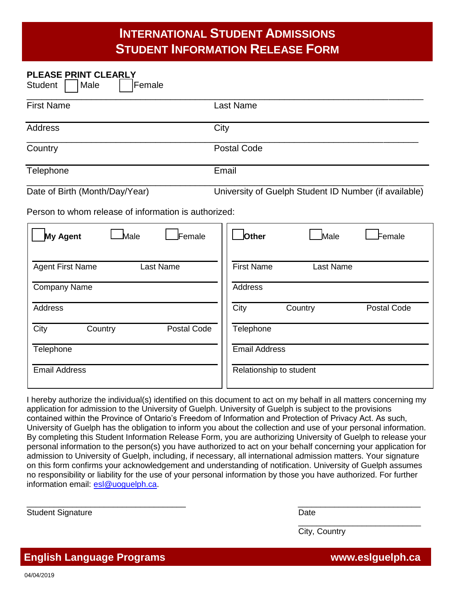# **INTERNATIONAL STUDENT ADMISSIONS STUDENT INFORMATION RELEASE FORM**

| <b>PLEASE PRINT CLEARLY</b> |               |
|-----------------------------|---------------|
| $Student$ $Male$            | <b>Lamale</b> |

| $-$<br><br>-------             |                                                       |
|--------------------------------|-------------------------------------------------------|
| <b>First Name</b>              | Last Name                                             |
| Address                        | City                                                  |
| Country                        | Postal Code                                           |
| Telephone                      | Email                                                 |
| Date of Birth (Month/Day/Year) | University of Guelph Student ID Number (if available) |

Person to whom release of information is authorized:

| My Agent<br>$\sf M$ ale<br>Female     | <b>Other</b><br>Female<br>Male        |
|---------------------------------------|---------------------------------------|
| <b>Agent First Name</b><br>Last Name  | <b>First Name</b><br>Last Name        |
| <b>Company Name</b>                   | Address                               |
| Address                               | City<br><b>Postal Code</b><br>Country |
| City<br><b>Postal Code</b><br>Country | Telephone                             |
| Telephone                             | <b>Email Address</b>                  |
| <b>Email Address</b>                  | Relationship to student               |

I hereby authorize the individual(s) identified on this document to act on my behalf in all matters concerning my application for admission to the University of Guelph. University of Guelph is subject to the provisions contained within the Province of Ontario's Freedom of Information and Protection of Privacy Act. As such, University of Guelph has the obligation to inform you about the collection and use of your personal information. By completing this Student Information Release Form, you are authorizing University of Guelph to release your personal information to the person(s) you have authorized to act on your behalf concerning your application for admission to University of Guelph, including, if necessary, all international admission matters. Your signature on this form confirms your acknowledgement and understanding of notification. University of Guelph assumes no responsibility or liability for the use of your personal information by those you have authorized. For further information email: [esl@uoguelph.ca.](mailto:esl@uoguelph.ca)

 $\overline{\phantom{a}}$  , and the contract of the contract of the contract of the contract of the contract of the contract of the contract of the contract of the contract of the contract of the contract of the contract of the contrac

Student Signature **Date** 

\_\_\_\_\_\_\_\_\_\_\_\_\_\_\_\_\_\_\_\_\_\_\_\_\_\_\_ City, Country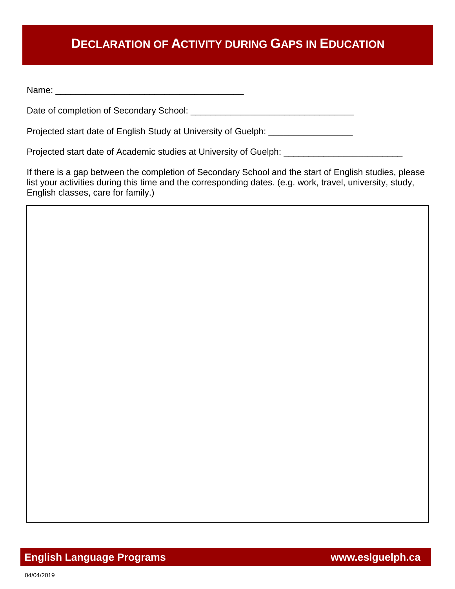# **DECLARATION OF ACTIVITY DURING GAPS IN EDUCATION**

Name:

Date of completion of Secondary School: \_\_\_\_\_\_\_\_\_\_\_\_\_\_\_\_\_\_\_\_\_\_\_\_\_\_\_\_\_\_\_\_\_

Projected start date of English Study at University of Guelph: \_\_\_\_\_\_\_\_\_\_\_\_\_\_\_\_\_

Projected start date of Academic studies at University of Guelph: \_\_\_\_\_\_\_\_\_\_\_\_\_\_\_\_\_\_\_\_\_\_\_\_

If there is a gap between the completion of Secondary School and the start of English studies, please list your activities during this time and the corresponding dates. (e.g. work, travel, university, study, English classes, care for family.)

# **English Language Programs**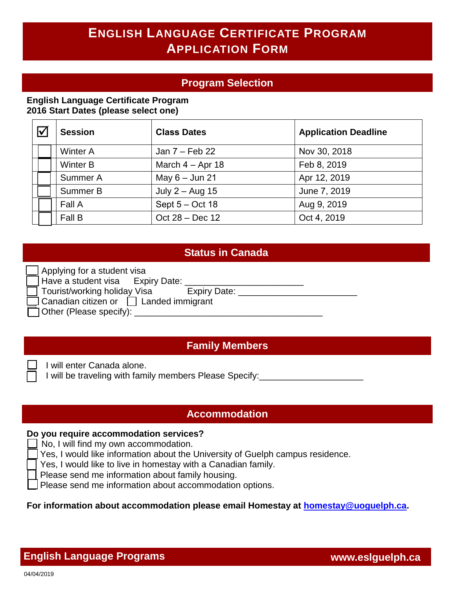# **ENGLISH LANGUAGE CERTIFICATE PROGRAM APPLICATION FORM**

## **Program Selection**

#### **English Language Certificate Program 2016 Start Dates (please select one)**

| <b>Session</b>  | <b>Class Dates</b> | <b>Application Deadline</b> |
|-----------------|--------------------|-----------------------------|
| <b>Winter A</b> | Jan 7 – Feb 22     | Nov 30, 2018                |
| Winter B        | March $4 -$ Apr 18 | Feb 8, 2019                 |
| Summer A        | May $6 -$ Jun 21   | Apr 12, 2019                |
| Summer B        | July $2 - Aug$ 15  | June 7, 2019                |
| Fall A          | Sept 5 - Oct 18    | Aug 9, 2019                 |
| Fall B          | Oct $28 - Dec 12$  | Oct 4, 2019                 |

#### **Status in Canada**

| Applying for a student visa                        |
|----------------------------------------------------|
| Have a student visa Expiry Date:                   |
| Tourist/working holiday Visa<br>Expiry Date:       |
| $\Box$ Canadian citizen or $\Box$ Landed immigrant |
| Other (Please specify):                            |

#### **Family Members**

I will enter Canada alone.

I will be traveling with family members Please Specify:

#### **Accommodation**

#### **Do you require accommodation services?**

No, I will find my own accommodation.

Yes, I would like information about the University of Guelph campus residence.

Yes, I would like to live in homestay with a Canadian family.

Please send me information about family housing.

Please send me information about accommodation options.

**For information about accommodation please email Homestay at [homestay@uoguelph.ca.](mailto:homestay@uoguelph.ca)**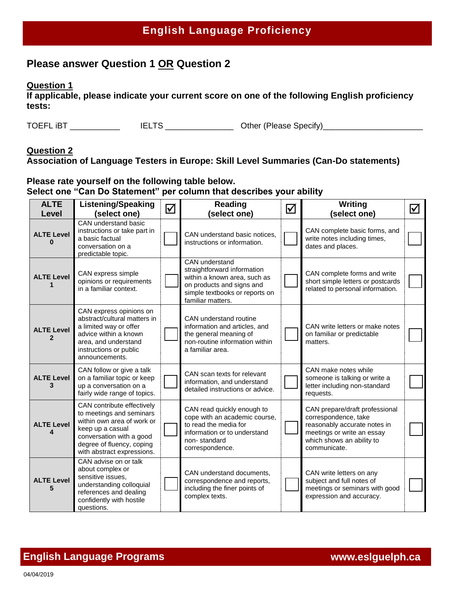# **English Language Proficiency**

#### **Please answer Question 1 OR Question 2**

#### **Question 1**

**If applicable, please indicate your current score on one of the following English proficiency tests:** 

TOEFL iBT \_\_\_\_\_\_\_\_\_\_\_\_\_\_\_ IELTS \_\_\_\_\_\_\_\_\_\_\_\_\_\_\_\_\_\_\_\_Other (Please Specify)\_\_\_\_\_\_\_\_\_\_\_\_\_\_\_\_\_\_\_\_\_\_\_\_

#### **Question 2**

**Association of Language Testers in Europe: Skill Level Summaries (Can-Do statements)** 

#### **Please rate yourself on the following table below. Select one "Can Do Statement" per column that describes your ability**

| <b>ALTE</b><br><b>Level</b>       | <b>Listening/Speaking</b><br>(select one)                                                                                                                                                       | $\blacktriangledown$ | <b>Reading</b><br>(select one)                                                                                                                                    | $\blacktriangledown$                                                      | <b>Writing</b><br>(select one)                                                                                                                                    | $\bm{\nabla}$ |
|-----------------------------------|-------------------------------------------------------------------------------------------------------------------------------------------------------------------------------------------------|----------------------|-------------------------------------------------------------------------------------------------------------------------------------------------------------------|---------------------------------------------------------------------------|-------------------------------------------------------------------------------------------------------------------------------------------------------------------|---------------|
| <b>ALTE Level</b><br>$\bf{0}$     | CAN understand basic<br>instructions or take part in<br>a basic factual<br>conversation on a<br>predictable topic.                                                                              |                      | CAN understand basic notices,<br>instructions or information.                                                                                                     |                                                                           | CAN complete basic forms, and<br>write notes including times,<br>dates and places.                                                                                |               |
| <b>ALTE Level</b>                 | CAN express simple<br>opinions or requirements<br>in a familiar context.                                                                                                                        |                      | CAN understand<br>straightforward information<br>within a known area, such as<br>on products and signs and<br>simple textbooks or reports on<br>familiar matters. |                                                                           | CAN complete forms and write<br>short simple letters or postcards<br>related to personal information.                                                             |               |
| <b>ALTE Level</b><br>$\mathbf{2}$ | CAN express opinions on<br>abstract/cultural matters in<br>a limited way or offer<br>advice within a known<br>area, and understand<br>instructions or public<br>announcements.                  |                      | CAN understand routine<br>information and articles, and<br>the general meaning of<br>non-routine information within<br>a familiar area.                           | CAN write letters or make notes<br>on familiar or predictable<br>matters. |                                                                                                                                                                   |               |
| <b>ALTE Level</b><br>3            | CAN follow or give a talk<br>on a familiar topic or keep<br>up a conversation on a<br>fairly wide range of topics.                                                                              |                      | CAN scan texts for relevant<br>information, and understand<br>detailed instructions or advice.                                                                    |                                                                           | CAN make notes while<br>someone is talking or write a<br>letter including non-standard<br>requests.                                                               |               |
| <b>ALTE Level</b>                 | CAN contribute effectively<br>to meetings and seminars<br>within own area of work or<br>keep up a casual<br>conversation with a good<br>degree of fluency, coping<br>with abstract expressions. |                      | CAN read quickly enough to<br>cope with an academic course,<br>to read the media for<br>information or to understand<br>non-standard<br>correspondence.           |                                                                           | CAN prepare/draft professional<br>correspondence, take<br>reasonably accurate notes in<br>meetings or write an essay<br>which shows an ability to<br>communicate. |               |
| <b>ALTE Level</b><br>5            | CAN advise on or talk<br>about complex or<br>sensitive issues,<br>understanding colloquial<br>references and dealing<br>confidently with hostile<br>questions.                                  |                      | CAN understand documents,<br>correspondence and reports,<br>including the finer points of<br>complex texts.                                                       |                                                                           | CAN write letters on any<br>subject and full notes of<br>meetings or seminars with good<br>expression and accuracy.                                               |               |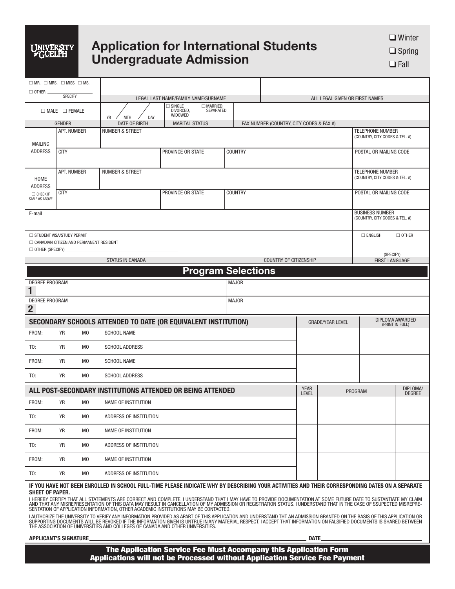# UNIVERSITY<br> **GUELPH**

# **Application for International Students Undergraduate Admission**

**Q** Winter  $\Box$  Spring

**T**Fall

| $\Box$ MR. $\Box$ MRS. $\Box$ MISS $\Box$ MS.                          |                                                                                                                                                                                                                                                                                                                                                                                                                                                                                                                                                                                                                                                                                                                                                                                                                                                                                                                                                                                                                                                                                         |                |                                     |                                                                              |                |                                          |                                                           |                         |                                                           |                                    |
|------------------------------------------------------------------------|-----------------------------------------------------------------------------------------------------------------------------------------------------------------------------------------------------------------------------------------------------------------------------------------------------------------------------------------------------------------------------------------------------------------------------------------------------------------------------------------------------------------------------------------------------------------------------------------------------------------------------------------------------------------------------------------------------------------------------------------------------------------------------------------------------------------------------------------------------------------------------------------------------------------------------------------------------------------------------------------------------------------------------------------------------------------------------------------|----------------|-------------------------------------|------------------------------------------------------------------------------|----------------|------------------------------------------|-----------------------------------------------------------|-------------------------|-----------------------------------------------------------|------------------------------------|
| $\Box$ other<br><b>SPECIFY</b>                                         |                                                                                                                                                                                                                                                                                                                                                                                                                                                                                                                                                                                                                                                                                                                                                                                                                                                                                                                                                                                                                                                                                         |                | LEGAL LAST NAME/FAMILY NAME/SURNAME |                                                                              |                |                                          | ALL LEGAL GIVEN OR FIRST NAMES                            |                         |                                                           |                                    |
| $\Box$ MALE $\Box$ FEMALE                                              |                                                                                                                                                                                                                                                                                                                                                                                                                                                                                                                                                                                                                                                                                                                                                                                                                                                                                                                                                                                                                                                                                         |                | <b>MTH</b><br>DAY<br>YR             | $\Box$ single<br>$\Box$ MARRIED.<br><b>SEPARATÉD</b><br>DIVORCED,<br>WIDOWED |                |                                          |                                                           |                         |                                                           |                                    |
|                                                                        | <b>GENDER</b>                                                                                                                                                                                                                                                                                                                                                                                                                                                                                                                                                                                                                                                                                                                                                                                                                                                                                                                                                                                                                                                                           |                | DATE OF BIRTH                       | <b>MARITAL STATUS</b>                                                        |                | FAX NUMBER (COUNTRY, CITY CODES & FAX #) |                                                           |                         |                                                           |                                    |
| APT. NUMBER<br><b>NUMBER &amp; STREET</b>                              |                                                                                                                                                                                                                                                                                                                                                                                                                                                                                                                                                                                                                                                                                                                                                                                                                                                                                                                                                                                                                                                                                         |                |                                     |                                                                              |                |                                          | <b>TELEPHONE NUMBER</b><br>(COUNTRY, CITY CODES & TEL. #) |                         |                                                           |                                    |
| <b>MAILING</b><br><b>ADDRESS</b>                                       | <b>CITY</b>                                                                                                                                                                                                                                                                                                                                                                                                                                                                                                                                                                                                                                                                                                                                                                                                                                                                                                                                                                                                                                                                             |                |                                     | PROVINCE OR STATE                                                            | <b>COUNTRY</b> |                                          |                                                           |                         | POSTAL OR MAILING CODE                                    |                                    |
|                                                                        |                                                                                                                                                                                                                                                                                                                                                                                                                                                                                                                                                                                                                                                                                                                                                                                                                                                                                                                                                                                                                                                                                         |                |                                     |                                                                              |                |                                          |                                                           |                         |                                                           |                                    |
| <b>HOME</b>                                                            | <b>APT. NUMBER</b>                                                                                                                                                                                                                                                                                                                                                                                                                                                                                                                                                                                                                                                                                                                                                                                                                                                                                                                                                                                                                                                                      |                | <b>NUMBER &amp; STREET</b>          |                                                                              |                |                                          |                                                           |                         | <b>TELEPHONE NUMBER</b><br>(COUNTRY, CITY CODES & TEL. #) |                                    |
| <b>ADDRESS</b>                                                         |                                                                                                                                                                                                                                                                                                                                                                                                                                                                                                                                                                                                                                                                                                                                                                                                                                                                                                                                                                                                                                                                                         |                |                                     |                                                                              |                |                                          |                                                           |                         |                                                           |                                    |
| $\Box$ CHECK IF<br>SAME AS ABOVE                                       | <b>CITY</b>                                                                                                                                                                                                                                                                                                                                                                                                                                                                                                                                                                                                                                                                                                                                                                                                                                                                                                                                                                                                                                                                             |                |                                     | PROVINCE OR STATE                                                            | <b>COUNTRY</b> |                                          |                                                           |                         | POSTAL OR MAILING CODE                                    |                                    |
| E-mail                                                                 |                                                                                                                                                                                                                                                                                                                                                                                                                                                                                                                                                                                                                                                                                                                                                                                                                                                                                                                                                                                                                                                                                         |                |                                     |                                                                              |                |                                          |                                                           |                         | <b>BUSINESS NUMBER</b><br>(COUNTRY, CITY CODES & TEL. #)  |                                    |
|                                                                        |                                                                                                                                                                                                                                                                                                                                                                                                                                                                                                                                                                                                                                                                                                                                                                                                                                                                                                                                                                                                                                                                                         |                |                                     |                                                                              |                |                                          |                                                           |                         |                                                           |                                    |
| □ STUDENT VISA/STUDY PERMIT<br>CANADIAN CITIZEN AND PERMANENT RESIDENT |                                                                                                                                                                                                                                                                                                                                                                                                                                                                                                                                                                                                                                                                                                                                                                                                                                                                                                                                                                                                                                                                                         |                |                                     |                                                                              |                |                                          |                                                           |                         | $\square$ ENGLISH                                         | $\Box$ OTHER                       |
| $\Box$ OTHER (SPECIFY)                                                 |                                                                                                                                                                                                                                                                                                                                                                                                                                                                                                                                                                                                                                                                                                                                                                                                                                                                                                                                                                                                                                                                                         |                |                                     |                                                                              |                |                                          |                                                           |                         | (SPECIFY)                                                 |                                    |
|                                                                        |                                                                                                                                                                                                                                                                                                                                                                                                                                                                                                                                                                                                                                                                                                                                                                                                                                                                                                                                                                                                                                                                                         |                | <b>STATUS IN CANADA</b>             |                                                                              |                | <b>COUNTRY OF CITIZENSHIP</b>            |                                                           |                         | <b>FIRST LANGUAGE</b>                                     |                                    |
|                                                                        |                                                                                                                                                                                                                                                                                                                                                                                                                                                                                                                                                                                                                                                                                                                                                                                                                                                                                                                                                                                                                                                                                         |                |                                     | <b>Program Selections</b>                                                    |                |                                          |                                                           |                         |                                                           |                                    |
| DEGREE PROGRAM<br>1                                                    |                                                                                                                                                                                                                                                                                                                                                                                                                                                                                                                                                                                                                                                                                                                                                                                                                                                                                                                                                                                                                                                                                         |                |                                     |                                                                              | <b>MAJOR</b>   |                                          |                                                           |                         |                                                           |                                    |
| <b>DEGREE PROGRAM</b>                                                  |                                                                                                                                                                                                                                                                                                                                                                                                                                                                                                                                                                                                                                                                                                                                                                                                                                                                                                                                                                                                                                                                                         |                |                                     |                                                                              | <b>MAJOR</b>   |                                          |                                                           |                         |                                                           |                                    |
| $\mathbf{2}$                                                           |                                                                                                                                                                                                                                                                                                                                                                                                                                                                                                                                                                                                                                                                                                                                                                                                                                                                                                                                                                                                                                                                                         |                |                                     |                                                                              |                |                                          |                                                           |                         |                                                           |                                    |
|                                                                        |                                                                                                                                                                                                                                                                                                                                                                                                                                                                                                                                                                                                                                                                                                                                                                                                                                                                                                                                                                                                                                                                                         |                |                                     | SECONDARY SCHOOLS ATTENDED TO DATE (OR EQUIVALENT INSTITUTION)               |                |                                          |                                                           | <b>GRADE/YEAR LEVEL</b> |                                                           | DIPLOMA AWARDED<br>(PRINT IN FULL) |
| FROM:                                                                  | <b>YR</b>                                                                                                                                                                                                                                                                                                                                                                                                                                                                                                                                                                                                                                                                                                                                                                                                                                                                                                                                                                                                                                                                               | M <sub>0</sub> | <b>SCHOOL NAME</b>                  |                                                                              |                |                                          |                                                           |                         |                                                           |                                    |
| T0:                                                                    | <b>YR</b>                                                                                                                                                                                                                                                                                                                                                                                                                                                                                                                                                                                                                                                                                                                                                                                                                                                                                                                                                                                                                                                                               | M0             | <b>SCHOOL ADDRESS</b>               |                                                                              |                |                                          |                                                           |                         |                                                           |                                    |
| FROM:                                                                  | YR                                                                                                                                                                                                                                                                                                                                                                                                                                                                                                                                                                                                                                                                                                                                                                                                                                                                                                                                                                                                                                                                                      | МO             | <b>SCHOOL NAME</b>                  |                                                                              |                |                                          |                                                           |                         |                                                           |                                    |
| TO:                                                                    | YR                                                                                                                                                                                                                                                                                                                                                                                                                                                                                                                                                                                                                                                                                                                                                                                                                                                                                                                                                                                                                                                                                      | M0             | <b>SCHOOL ADDRESS</b>               |                                                                              |                |                                          |                                                           |                         |                                                           |                                    |
|                                                                        |                                                                                                                                                                                                                                                                                                                                                                                                                                                                                                                                                                                                                                                                                                                                                                                                                                                                                                                                                                                                                                                                                         |                |                                     | ALL POST-SECONDARY INSTITUTIONS ATTENDED OR BEING ATTENDED                   |                |                                          | <b>YEAR</b><br><b>LEVEL</b>                               | PROGRAM                 |                                                           | DIPLOMA/<br><b>DEGREE</b>          |
| FROM:                                                                  | YR                                                                                                                                                                                                                                                                                                                                                                                                                                                                                                                                                                                                                                                                                                                                                                                                                                                                                                                                                                                                                                                                                      | M0             | NAME OF INSTITUTION                 |                                                                              |                |                                          |                                                           |                         |                                                           |                                    |
| TO:                                                                    | YR                                                                                                                                                                                                                                                                                                                                                                                                                                                                                                                                                                                                                                                                                                                                                                                                                                                                                                                                                                                                                                                                                      | МO             | ADDRESS OF INSTITUTION              |                                                                              |                |                                          |                                                           |                         |                                                           |                                    |
| FROM:                                                                  | <b>YR</b>                                                                                                                                                                                                                                                                                                                                                                                                                                                                                                                                                                                                                                                                                                                                                                                                                                                                                                                                                                                                                                                                               | M0             | NAME OF INSTITUTION                 |                                                                              |                |                                          |                                                           |                         |                                                           |                                    |
| T0:                                                                    | <b>YR</b>                                                                                                                                                                                                                                                                                                                                                                                                                                                                                                                                                                                                                                                                                                                                                                                                                                                                                                                                                                                                                                                                               | M <sub>0</sub> | ADDRESS OF INSTITUTION              |                                                                              |                |                                          |                                                           |                         |                                                           |                                    |
| FROM:                                                                  | YR                                                                                                                                                                                                                                                                                                                                                                                                                                                                                                                                                                                                                                                                                                                                                                                                                                                                                                                                                                                                                                                                                      | МO             | NAME OF INSTITUTION                 |                                                                              |                |                                          |                                                           |                         |                                                           |                                    |
| T0:                                                                    | YR                                                                                                                                                                                                                                                                                                                                                                                                                                                                                                                                                                                                                                                                                                                                                                                                                                                                                                                                                                                                                                                                                      | M0             | ADDRESS OF INSTITUTION              |                                                                              |                |                                          |                                                           |                         |                                                           |                                    |
|                                                                        | IF YOU HAVE NOT BEEN ENROLLED IN SCHOOL FULL-TIME PLEASE INDICATE WHY BY DESCRIBING YOUR ACTIVITIES AND THEIR CORRESPONDING DATES ON A SEPARATE<br><b>SHEET OF PAPER.</b><br>I HEREBY CERTIFY THAT ALL STATEMENTS ARE CORRECT AND COMPLETE. I UNDERSTAND THAT I MAY HAVE TO PROVIDE DOCUMENTATION AT SOME FUTURE DATE TO SUSTANTIATE MY CLAIM<br>AND THAT ANY MISREPRESENTATION OF THIS DATA MAY RESULT IN CANCELLATION OF MY ADMISSION OR REGISTRATION STATUS. I UNDERSTAND THAT IN THE CASE OF SSUPECTED MISREPRE-<br>SENTATION OF APPLICATION INFORMATION, OTHER ACADEMIC INSTITUTIONS MAY BE CONTACTED.<br>I AUTHORIZE THE UNIVERSITY TO VERIFY ANY INFORMATION PROVIDED AS APART OF THIS APPLICATION AND UNDERSTAND THT AN ADMISSION GRANTED ON THE BASIS OF THIS APPLICATION OR<br>SUPPORTING DOCUMENTS WILL BE REVOKED IF THE INFORMATION GIVEN IS UNTRUE IN ANY MATERIAL RESPECT. I ACCEPT THAT INFORMATION ON FALSIFIED DOCUMENTS IS SHARED BETWEEN<br>THE ASSOCIATION OF UNIVERSITIES AND COLLEGES OF CANADA AND OTHER UNIVERSITIES.<br><b>APPLICANT'S SIGNATURE</b><br>DATE. |                |                                     |                                                                              |                |                                          |                                                           |                         |                                                           |                                    |

The Application Service Fee Must Accompany this Application Form Applications will not be Processed without Application Service Fee Payment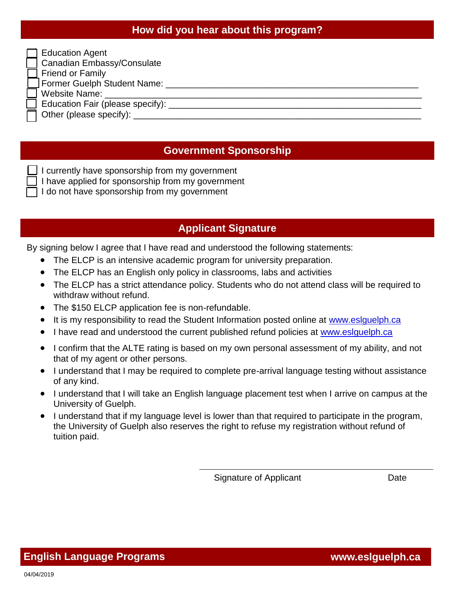### **How did you hear about this program?**

| <b>Education Agent</b>                    |
|-------------------------------------------|
| Canadian Embassy/Consulate                |
| $\Box$ Friend or Family                   |
| Student Name: Suelph Student Name:        |
| <b>__  Website Name:</b> j                |
| $\equiv$ Education Fair (please specify): |
| $\overline{1}$ Other (please specify):    |
|                                           |

#### **Government Sponsorship**

I currently have sponsorship from my government

I have applied for sponsorship from my government

I do not have sponsorship from my government

## **Applicant Signature**

By signing below I agree that I have read and understood the following statements:

- The ELCP is an intensive academic program for university preparation.
- The ELCP has an English only policy in classrooms, labs and activities
- The ELCP has a strict attendance policy. Students who do not attend class will be required to withdraw without refund.
- The \$150 ELCP application fee is non-refundable.
- It is my responsibility to read the Student Information posted online at www.esiquelph.ca
- I have read and understood the current published refund policies at www.esiquelph.ca
- I confirm that the ALTE rating is based on my own personal assessment of my ability, and not that of my agent or other persons.
- I understand that I may be required to complete pre-arrival language testing without assistance of any kind.
- I understand that I will take an English language placement test when I arrive on campus at the University of Guelph.
- I understand that if my language level is lower than that required to participate in the program, the University of Guelph also reserves the right to refuse my registration without refund of tuition paid.

Signature of Applicant Date